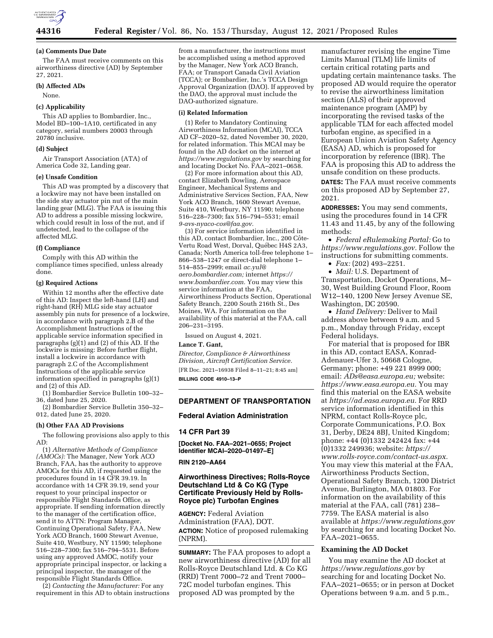

#### **(a) Comments Due Date**

The FAA must receive comments on this airworthiness directive (AD) by September 27, 2021.

#### **(b) Affected ADs**

None.

## **(c) Applicability**

This AD applies to Bombardier, Inc., Model BD–100–1A10, certificated in any category, serial numbers 20003 through 20780 inclusive.

### **(d) Subject**

Air Transport Association (ATA) of America Code 32, Landing gear.

### **(e) Unsafe Condition**

This AD was prompted by a discovery that a lockwire may not have been installed on the side stay actuator pin nut of the main landing gear (MLG). The FAA is issuing this AD to address a possible missing lockwire, which could result in loss of the nut, and if undetected, lead to the collapse of the affected MLG.

#### **(f) Compliance**

Comply with this AD within the compliance times specified, unless already done.

#### **(g) Required Actions**

Within 12 months after the effective date of this AD: Inspect the left-hand (LH) and right-hand (RH) MLG side stay actuator assembly pin nuts for presence of a lockwire, in accordance with paragraph 2.B of the Accomplishment Instructions of the applicable service information specified in paragraphs (g)(1) and (2) of this AD. If the lockwire is missing: Before further flight, install a lockwire in accordance with paragraph 2.C of the Accomplishment Instructions of the applicable service information specified in paragraphs (g)(1) and (2) of this AD.

(1) Bombardier Service Bulletin 100–32– 36, dated June 25, 2020.

(2) Bombardier Service Bulletin 350–32– 012, dated June 25, 2020.

### **(h) Other FAA AD Provisions**

The following provisions also apply to this AD:

(1) *Alternative Methods of Compliance (AMOCs):* The Manager, New York ACO Branch, FAA, has the authority to approve AMOCs for this AD, if requested using the procedures found in 14 CFR 39.19. In accordance with 14 CFR 39.19, send your request to your principal inspector or responsible Flight Standards Office, as appropriate. If sending information directly to the manager of the certification office, send it to ATTN: Program Manager, Continuing Operational Safety, FAA, New York ACO Branch, 1600 Stewart Avenue, Suite 410, Westbury, NY 11590; telephone 516–228–7300; fax 516–794–5531. Before using any approved AMOC, notify your appropriate principal inspector, or lacking a principal inspector, the manager of the responsible Flight Standards Office.

(2) *Contacting the Manufacturer:* For any requirement in this AD to obtain instructions from a manufacturer, the instructions must be accomplished using a method approved by the Manager, New York ACO Branch, FAA; or Transport Canada Civil Aviation (TCCA); or Bombardier, Inc.'s TCCA Design Approval Organization (DAO). If approved by the DAO, the approval must include the DAO-authorized signature.

#### **(i) Related Information**

(1) Refer to Mandatory Continuing Airworthiness Information (MCAI), TCCA AD CF–2020–52, dated November 30, 2020, for related information. This MCAI may be found in the AD docket on the internet at *<https://www.regulations.gov>* by searching for and locating Docket No. FAA–2021–0658.

(2) For more information about this AD, contact Elizabeth Dowling, Aerospace Engineer, Mechanical Systems and Administrative Services Section, FAA, New York ACO Branch, 1600 Stewart Avenue, Suite 410, Westbury, NY 11590; telephone 516–228–7300; fax 516–794–5531; email *[9-avs-nyaco-cos@faa.gov.](mailto:9-avs-nyaco-cos@faa.gov)* 

(3) For service information identified in this AD, contact Bombardier, Inc., 200 Côte-Vertu Road West, Dorval, Québec H4S 2A3, Canada; North America toll-free telephone 1– 866–538–1247 or direct-dial telephone 1– 514–855–2999; email *[ac.yul@](mailto:ac.yul@aero.bombardier.com) [aero.bombardier.com;](mailto:ac.yul@aero.bombardier.com)* internet *[https://](https://www.bombardier.com) [www.bombardier.com.](https://www.bombardier.com)* You may view this service information at the FAA, Airworthiness Products Section, Operational Safety Branch, 2200 South 216th St., Des Moines, WA. For information on the availability of this material at the FAA, call 206–231–3195.

Issued on August 4, 2021.

## **Lance T. Gant,**

*Director, Compliance & Airworthiness Division, Aircraft Certification Service.*  [FR Doc. 2021–16938 Filed 8–11–21; 8:45 am] **BILLING CODE 4910–13–P** 

## **DEPARTMENT OF TRANSPORTATION**

## **Federal Aviation Administration**

### **14 CFR Part 39**

**[Docket No. FAA–2021–0655; Project Identifier MCAI–2020–01497–E]** 

## **RIN 2120–AA64**

## **Airworthiness Directives; Rolls-Royce Deutschland Ltd & Co KG (Type Certificate Previously Held by Rolls-Royce plc) Turbofan Engines**

**AGENCY:** Federal Aviation Administration (FAA), DOT. **ACTION:** Notice of proposed rulemaking (NPRM).

**SUMMARY:** The FAA proposes to adopt a new airworthiness directive (AD) for all Rolls-Royce Deutschland Ltd. & Co KG (RRD) Trent 7000–72 and Trent 7000– 72C model turbofan engines. This proposed AD was prompted by the

manufacturer revising the engine Time Limits Manual (TLM) life limits of certain critical rotating parts and updating certain maintenance tasks. The proposed AD would require the operator to revise the airworthiness limitation section (ALS) of their approved maintenance program (AMP) by incorporating the revised tasks of the applicable TLM for each affected model turbofan engine, as specified in a European Union Aviation Safety Agency (EASA) AD, which is proposed for incorporation by reference (IBR). The FAA is proposing this AD to address the unsafe condition on these products.

**DATES:** The FAA must receive comments on this proposed AD by September 27, 2021.

**ADDRESSES:** You may send comments, using the procedures found in 14 CFR 11.43 and 11.45, by any of the following methods:

• *Federal eRulemaking Portal:* Go to *[https://www.regulations.gov.](https://www.regulations.gov)* Follow the instructions for submitting comments.

• *Fax:* (202) 493–2251.

• *Mail:* U.S. Department of Transportation, Docket Operations, M– 30, West Building Ground Floor, Room W12–140, 1200 New Jersey Avenue SE, Washington, DC 20590.

• *Hand Delivery:* Deliver to Mail address above between 9 a.m. and 5 p.m., Monday through Friday, except Federal holidays.

For material that is proposed for IBR in this AD, contact EASA, Konrad-Adenauer-Ufer 3, 50668 Cologne, Germany; phone: +49 221 8999 000; email: *[ADs@easa.europa.eu;](mailto:ADs@easa.europa.eu)* website: *[https://www.easa.europa.eu.](https://www.easa.europa.eu)* You may find this material on the EASA website at *[https://ad.easa.europa.eu.](https://ad.easa.europa.eu)* For RRD service information identified in this NPRM, contact Rolls-Royce plc, Corporate Communications, P.O. Box 31, Derby, DE24 8BJ, United Kingdom; phone: +44 (0)1332 242424 fax: +44 (0)1332 249936; website: *[https://](https://www.rolls-royce.com/contact-us.aspx) [www.rolls-royce.com/contact-us.aspx.](https://www.rolls-royce.com/contact-us.aspx)*  You may view this material at the FAA, Airworthiness Products Section, Operational Safety Branch, 1200 District Avenue, Burlington, MA 01803. For information on the availability of this material at the FAA, call (781) 238– 7759. The EASA material is also available at *<https://www.regulations.gov>* by searching for and locating Docket No. FAA–2021–0655.

## **Examining the AD Docket**

You may examine the AD docket at *<https://www.regulations.gov>* by searching for and locating Docket No. FAA–2021–0655; or in person at Docket Operations between 9 a.m. and 5 p.m.,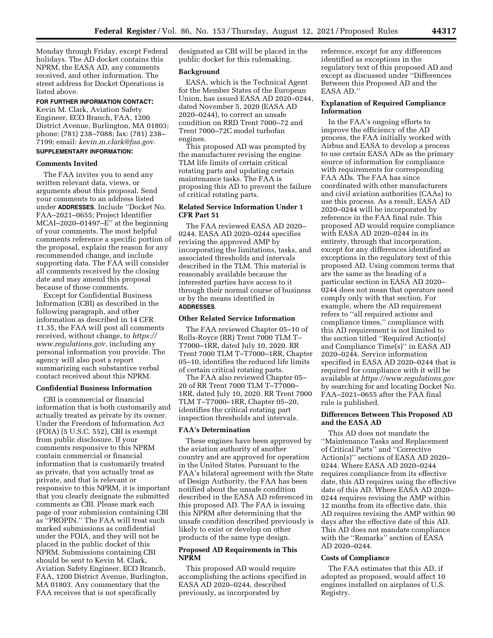Monday through Friday, except Federal holidays. The AD docket contains this NPRM, the EASA AD, any comments received, and other information. The street address for Docket Operations is listed above.

### **FOR FURTHER INFORMATION CONTACT:**

Kevin M. Clark, Aviation Safety Engineer, ECO Branch, FAA, 1200 District Avenue, Burlington, MA 01803; phone: (781) 238–7088; fax: (781) 238– 7199; email: *[kevin.m.clark@faa.gov.](mailto:kevin.m.clark@faa.gov)* 

# **SUPPLEMENTARY INFORMATION:**

### **Comments Invited**

The FAA invites you to send any written relevant data, views, or arguments about this proposal. Send your comments to an address listed under **ADDRESSES**. Include ''Docket No. FAA–2021–0655; Project Identifier MCAI–2020–01497–E'' at the beginning of your comments. The most helpful comments reference a specific portion of the proposal, explain the reason for any recommended change, and include supporting data. The FAA will consider all comments received by the closing date and may amend this proposal because of those comments.

Except for Confidential Business Information (CBI) as described in the following paragraph, and other information as described in 14 CFR 11.35, the FAA will post all comments received, without change, to *[https://](https://www.regulations.gov) [www.regulations.gov,](https://www.regulations.gov)* including any personal information you provide. The agency will also post a report summarizing each substantive verbal contact received about this NPRM.

### **Confidential Business Information**

CBI is commercial or financial information that is both customarily and actually treated as private by its owner. Under the Freedom of Information Act (FOIA) (5 U.S.C. 552), CBI is exempt from public disclosure. If your comments responsive to this NPRM contain commercial or financial information that is customarily treated as private, that you actually treat as private, and that is relevant or responsive to this NPRM, it is important that you clearly designate the submitted comments as CBI. Please mark each page of your submission containing CBI as ''PROPIN.'' The FAA will treat such marked submissions as confidential under the FOIA, and they will not be placed in the public docket of this NPRM. Submissions containing CBI should be sent to Kevin M. Clark, Aviation Safety Engineer, ECO Branch, FAA, 1200 District Avenue, Burlington, MA 01803. Any commentary that the FAA receives that is not specifically

designated as CBI will be placed in the public docket for this rulemaking.

### **Background**

EASA, which is the Technical Agent for the Member States of the European Union, has issued EASA AD 2020–0244, dated November 5, 2020 (EASA AD 2020–0244), to correct an unsafe condition on RRD Trent 7000–72 and Trent 7000–72C model turbofan engines.

This proposed AD was prompted by the manufacturer revising the engine TLM life limits of certain critical rotating parts and updating certain maintenance tasks. The FAA is proposing this AD to prevent the failure of critical rotating parts.

## **Related Service Information Under 1 CFR Part 51**

The FAA reviewed EASA AD 2020– 0244. EASA AD 2020–0244 specifies revising the approved AMP by incorporating the limitations, tasks, and associated thresholds and intervals described in the TLM. This material is reasonably available because the interested parties have access to it through their normal course of business or by the means identified in **ADDRESSES**.

#### **Other Related Service Information**

The FAA reviewed Chapter 05–10 of Rolls-Royce (RR) Trent 7000 TLM T– T7000–1RR, dated July 10, 2020. RR Trent 7000 TLM T–T7000–1RR, Chapter 05–10, identifies the reduced life limits of certain critical rotating parts.

The FAA also reviewed Chapter 05– 20 of RR Trent 7000 TLM T–T7000– 1RR, dated July 10, 2020. RR Trent 7000 TLM T–T7000–1RR, Chapter 05–20, identifies the critical rotating part inspection thresholds and intervals.

### **FAA's Determination**

These engines have been approved by the aviation authority of another country and are approved for operation in the United States. Pursuant to the FAA's bilateral agreement with the State of Design Authority, the FAA has been notified about the unsafe condition described in the EASA AD referenced in this proposed AD. The FAA is issuing this NPRM after determining that the unsafe condition described previously is likely to exist or develop on other products of the same type design.

## **Proposed AD Requirements in This NPRM**

This proposed AD would require accomplishing the actions specified in EASA AD 2020–0244, described previously, as incorporated by

reference, except for any differences identified as exceptions in the regulatory text of this proposed AD and except as discussed under ''Differences Between this Proposed AD and the EASA AD.''

### **Explanation of Required Compliance Information**

In the FAA's ongoing efforts to improve the efficiency of the AD process, the FAA initially worked with Airbus and EASA to develop a process to use certain EASA ADs as the primary source of information for compliance with requirements for corresponding FAA ADs. The FAA has since coordinated with other manufacturers and civil aviation authorities (CAAs) to use this process. As a result, EASA AD 2020–0244 will be incorporated by reference in the FAA final rule. This proposed AD would require compliance with EASA AD 2020–0244 in its entirety, through that incorporation, except for any differences identified as exceptions in the regulatory text of this proposed AD. Using common terms that are the same as the heading of a particular section in EASA AD 2020– 0244 does not mean that operators need comply only with that section. For example, where the AD requirement refers to ''all required actions and compliance times,'' compliance with this AD requirement is not limited to the section titled ''Required Action(s) and Compliance Time(s)'' in EASA AD 2020–0244. Service information specified in EASA AD 2020–0244 that is required for compliance with it will be available at *<https://www.regulations.gov>* by searching for and locating Docket No. FAA–2021–0655 after the FAA final rule is published.

## **Differences Between This Proposed AD and the EASA AD**

This AD does not mandate the ''Maintenance Tasks and Replacement of Critical Parts'' and ''Corrective Action(s)'' sections of EASA AD 2020– 0244. Where EASA AD 2020–0244 requires compliance from its effective date, this AD requires using the effective date of this AD. Where EASA AD 2020– 0244 requires revising the AMP within 12 months from its effective date, this AD requires revising the AMP within 90 days after the effective date of this AD. This AD does not mandate compliance with the ''Remarks'' section of EASA AD 2020–0244.

#### **Costs of Compliance**

The FAA estimates that this AD, if adopted as proposed, would affect 10 engines installed on airplanes of U.S. Registry.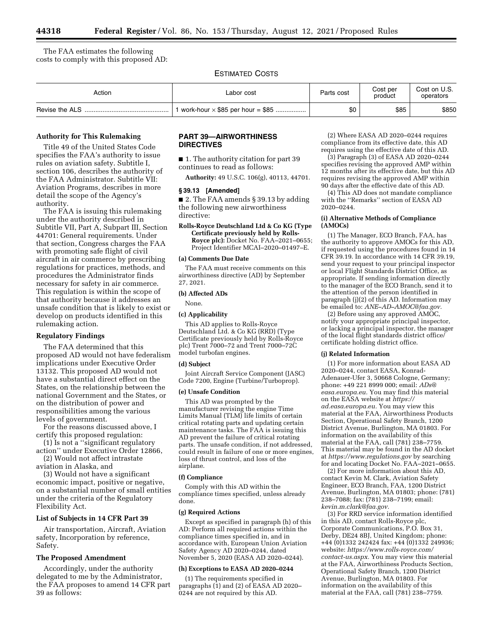The FAA estimates the following costs to comply with this proposed AD:

ESTIMATED COSTS

| Action         | Labor cost                              | Parts cost | Cost per<br>product | Cost on U.S.<br>operators |
|----------------|-----------------------------------------|------------|---------------------|---------------------------|
| Revise the ALS | work-hour $\times$ \$85 per hour = \$85 | \$0        | \$85                | \$850                     |

# **Authority for This Rulemaking**

Title 49 of the United States Code specifies the FAA's authority to issue rules on aviation safety. Subtitle I, section 106, describes the authority of the FAA Administrator. Subtitle VII: Aviation Programs, describes in more detail the scope of the Agency's authority.

The FAA is issuing this rulemaking under the authority described in Subtitle VII, Part A, Subpart III, Section 44701: General requirements. Under that section, Congress charges the FAA with promoting safe flight of civil aircraft in air commerce by prescribing regulations for practices, methods, and procedures the Administrator finds necessary for safety in air commerce. This regulation is within the scope of that authority because it addresses an unsafe condition that is likely to exist or develop on products identified in this rulemaking action.

### **Regulatory Findings**

The FAA determined that this proposed AD would not have federalism implications under Executive Order 13132. This proposed AD would not have a substantial direct effect on the States, on the relationship between the national Government and the States, or on the distribution of power and responsibilities among the various levels of government.

For the reasons discussed above, I certify this proposed regulation:

(1) Is not a ''significant regulatory action'' under Executive Order 12866,

(2) Would not affect intrastate aviation in Alaska, and

(3) Would not have a significant economic impact, positive or negative, on a substantial number of small entities under the criteria of the Regulatory Flexibility Act.

### **List of Subjects in 14 CFR Part 39**

Air transportation, Aircraft, Aviation safety, Incorporation by reference, Safety.

### **The Proposed Amendment**

Accordingly, under the authority delegated to me by the Administrator, the FAA proposes to amend 14 CFR part 39 as follows:

# **PART 39—AIRWORTHINESS DIRECTIVES**

■ 1. The authority citation for part 39 continues to read as follows:

**Authority:** 49 U.S.C. 106(g), 40113, 44701.

#### **§ 39.13 [Amended]**

■ 2. The FAA amends § 39.13 by adding the following new airworthiness directive:

**Rolls-Royce Deutschland Ltd & Co KG (Type Certificate previously held by Rolls-Royce plc):** Docket No. FAA–2021–0655; Project Identifier MCAI–2020–01497–E.

#### **(a) Comments Due Date**

The FAA must receive comments on this airworthiness directive (AD) by September 27, 2021.

### **(b) Affected ADs**

None.

## **(c) Applicability**

This AD applies to Rolls-Royce Deutschland Ltd. & Co KG (RRD) (Type Certificate previously held by Rolls-Royce plc) Trent 7000–72 and Trent 7000–72C model turbofan engines.

### **(d) Subject**

Joint Aircraft Service Component (JASC) Code 7200, Engine (Turbine/Turboprop).

#### **(e) Unsafe Condition**

This AD was prompted by the manufacturer revising the engine Time Limits Manual (TLM) life limits of certain critical rotating parts and updating certain maintenance tasks. The FAA is issuing this AD prevent the failure of critical rotating parts. The unsafe condition, if not addressed, could result in failure of one or more engines, loss of thrust control, and loss of the airplane.

#### **(f) Compliance**

Comply with this AD within the compliance times specified, unless already done.

## **(g) Required Actions**

Except as specified in paragraph (h) of this AD: Perform all required actions within the compliance times specified in, and in accordance with, European Union Aviation Safety Agency AD 2020–0244, dated November 5, 2020 (EASA AD 2020–0244).

#### **(h) Exceptions to EASA AD 2020–0244**

(1) The requirements specified in paragraphs (1) and (2) of EASA AD 2020– 0244 are not required by this AD.

(2) Where EASA AD 2020–0244 requires compliance from its effective date, this AD requires using the effective date of this AD.

(3) Paragraph (3) of EASA AD 2020–0244 specifies revising the approved AMP within 12 months after its effective date, but this AD requires revising the approved AMP within 90 days after the effective date of this AD.

(4) This AD does not mandate compliance with the ''Remarks'' section of EASA AD 2020–0244.

#### **(i) Alternative Methods of Compliance (AMOCs)**

(1) The Manager, ECO Branch, FAA, has the authority to approve AMOCs for this AD, if requested using the procedures found in 14 CFR 39.19. In accordance with 14 CFR 39.19, send your request to your principal inspector or local Flight Standards District Office, as appropriate. If sending information directly to the manager of the ECO Branch, send it to the attention of the person identified in paragraph (j)(2) of this AD. Information may be emailed to: *[ANE–AD–AMOC@faa.gov.](mailto:ANE-AD-AMOC@faa.gov)* 

(2) Before using any approved AMOC, notify your appropriate principal inspector, or lacking a principal inspector, the manager of the local flight standards district office/ certificate holding district office.

#### **(j) Related Information**

(1) For more information about EASA AD 2020–0244, contact EASA, Konrad-Adenauer-Ufer 3, 50668 Cologne, Germany; phone: +49 221 8999 000; email: *[ADs@](mailto:ADs@easa.europa.eu) [easa.europa.eu.](mailto:ADs@easa.europa.eu)* You may find this material on the EASA website at *[https://](https://ad.easa.europa.eu) [ad.easa.europa.eu.](https://ad.easa.europa.eu)* You may view this material at the FAA, Airworthiness Products Section, Operational Safety Branch, 1200 District Avenue, Burlington, MA 01803. For information on the availability of this material at the FAA, call (781) 238–7759. This material may be found in the AD docket at *<https://www.regulations.gov>* by searching for and locating Docket No. FAA–2021–0655.

(2) For more information about this AD, contact Kevin M. Clark, Aviation Safety Engineer, ECO Branch, FAA, 1200 District Avenue, Burlington, MA 01803; phone: (781) 238–7088; fax: (781) 238–7199; email: *[kevin.m.clark@faa.gov.](mailto:kevin.m.clark@faa.gov)* 

(3) For RRD service information identified in this AD, contact Rolls-Royce plc, Corporate Communications, P.O. Box 31, Derby, DE24 8BJ, United Kingdom; phone: +44 (0)1332 242424 fax: +44 (0)1332 249936; website: *[https://www.rolls-royce.com/](https://www.rolls-royce.com/contact-us.aspx) [contact-us.aspx.](https://www.rolls-royce.com/contact-us.aspx)* You may view this material at the FAA, Airworthiness Products Section, Operational Safety Branch, 1200 District Avenue, Burlington, MA 01803. For information on the availability of this material at the FAA, call (781) 238–7759.